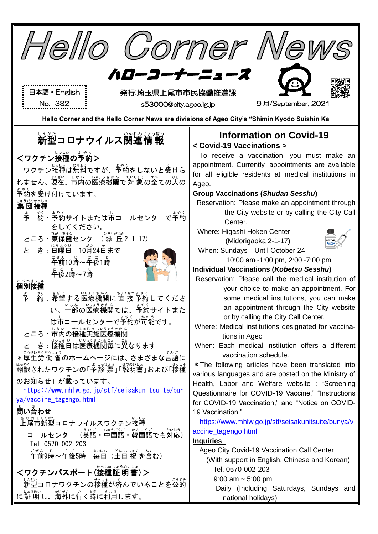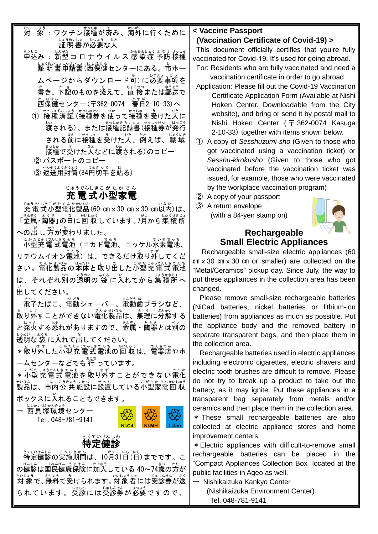対 たい しょ。<br>象 :ワクチン接種が済み、海外に行くために ↓▲ぅぁいよ。 ひょう。 ひとんじょう あいしょう おんじょう ひとう じょうめいしょう ひとう

- もうに<br>申込み :新型 コ ロ ナ ウ イ ル ス 感 染 症 予防 接種 しょうめいよいないよ にほけん<br>証 明 書 申請書 (西保健センターにある。市ホー ムページからダウンロード<sup>ゕ</sup>ヿに必要事項を <u>。</u><br>書き、下記のものを添えて、直 接または郵送で にし<sub>ほけん</sub><br>西保健センター(〒362-0074 春日2-10-33)へ
	- ① 接種済証(接種券を使って接種を受けた人に <sub>な。</sub><br>渡される)、または接種記録書(接種券が発行 される前に接種を受けた人、例えば、職域 ま。<br>接種で受けた人などに渡される)のコピー
	- ② パスポートのコピー
	- ③ 返送用封筒(84円切手を貼る)

### じゅうでんしきこがたかでん<br>**充電式小型家電**

<sub>じゅうでんしきこがたでんかむいん<br>充電式小型電化製品(60 cm x 30 cm x 30 cm以内)は、</sub> – <u>まんぞく</u> ようき<br>「金属・陶器」の日に回 収しています。7月から集 積 所 への出 し 方が変わりました。

こがたじゅうでんも。<br>小型充 電 式 電池(ニカド電池、ニッケル水素電池、 リチウムイオン電池) は、できるだけ取りがしてくだ さい。電化製品の本体と取り出した小型充電式電池 は、それぞれ別の透明の袋に入れてから集積所へ 出して だ ください。

で。」<br>電子たばこ、電動シェーバー、電動歯ブラシなど、 。<br>取り外すことができない電化製品は、無理に分解する と発火する怒れがありますので、釜属・陶器とは別の 透明 とうめい な 袋 ふくろ に入れて い 出 だ してください。

\*取り外した小型充電式電池の回収は、電器店やホ ームセンターなどでも <sup>おこな</sup>っています。

\*小型 充電式 電池を取り外すことができない電化 <sub>むひんする</sub> しゃっこう。<br>製品は、市内公 共 施設に設置している小型家電回 収 ボックスに入 い れることもできます。

→ ᢄしかいづかんきょう<br>**→ 西貝塚環境センター** Tel.048-781-9141



## とくていけんしん<br>**特定健診**

.<br>特定健診の実施期間は、10月31日 (日) までです。こ の健診は国民健康保険に加入している 40~74歳の方が 対 象 たいしょう で、無料 むりょう で受 う けられます。対象者 たいしょうしゃ には受診券 じゅしんけん が送 おく られています。受診には受診券が必要ですので、

#### **< Vaccine Passport**

#### **(Vaccination Certificate of Covid-19) >**

This document officially certifies that you're fully vaccinated for Covid-19. It's used for going abroad.

- For: Residents who are fully vaccinated and need a vaccination certificate in order to go abroad
- Application: Please fill out the Covid-19 Vaccination Certificate Application Form (Available at Nishi Hoken Center. Downloadable from the City website), and bring or send it by postal mail to Nishi Hoken Center ( 〒 362-0074 Kasuga 2-10-33) together with items shown below.
- ① A copy of *Sesshuzumi-sho* (Given to those who got vaccinated using a vaccination ticket) or *Sesshu-kirokusho* (Given to those who got vaccinated before the vaccination ticket was issued, for example, those who were vaccinated by the workplace vaccination program)
- ② A copy of your passport
- ③ A return envelope (with a 84-yen stamp on)



### **Rechargeable Small Electric Appliances**

Rechargeable small-size electric appliances (60  $cm \times 30$  cm  $\times 30$  cm or smaller) are collected on the "Metal/Ceramics" pickup day. Since July, the way to put these appliances in the collection area has been changed.

 Please remove small-size rechargeable batteries (NiCad batteries, nickel batteries or lithium-ion batteries) from appliances as much as possible. Put the appliance body and the removed battery in separate transparent bags, and then place them in the collection area.

Rechargeable batteries used in electric appliances including electronic cigarettes, electric shavers and electric tooth brushes are difficult to remove. Please do not try to break up a product to take out the battery, as it may ignite. Put these appliances in a transparent bag separately from metals and/or ceramics and then place them in the collection area. \* These small rechargeable batteries are also collected at electric appliance stores and home improvement centers.

\*Electric appliances with difficult-to-remove small rechargeable batteries can be placed in the "Compact Appliances Collection Box" located at the public facilities in Ageo as well.

→ Nishikaizuka Kankyo Center (Nishikaizuka Environment Center)

Tel. 048-781-9141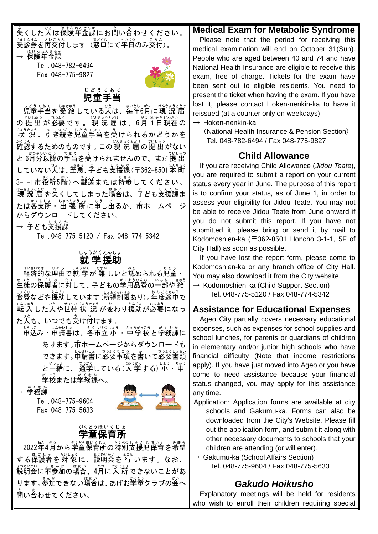<u>。</u><br>失くした人は保険年金課にお蔄い合わせください。 <sub>じゅしい。</sub><br>受診券を再交付します(窓口にて平日のみ交付)。 → 保険年金課

Tel.048-782-6494 Fax 048-775-9827



# <sub>じどうてあて</sub><br>**児童手当**

<sub>じどうてあて</sub> <sub>じゅきゅう</sub><br>児童手当を 受 給 している人は、毎年6月に 現 況 届 の 提 出 が 必要 で す 。 現 況 届 は 、6月 1日現在の <sub>じょうまょう</sub><br>状 況 、引き続き児童手当を受けられるかどうかを \*<に。<br>確認するためのものです。 この 現 況 届 の提 出 がない と 6月分以降の手当を受けられませんので、まだ 提 出 していない人は、至急、子ども支援課 (〒362-8501本 町 3-1-1市役所5階)へ郵送または持参してください。 <sub>げんきょうとどけ</sub> なくしてしまった場合は、子ども支援課ま<br>現 況 届 を失くしてしまった場合は、子ども支援課ま たは各支所・出 張 所に申し出るか、市ホームページ からダウンロードしてください。

→ <sup>こ</sup>ども支援課

Tel.048-775-5120 / Fax 048-774-5342

### しゅうがくえんじょ<br>**就 学援助**

サトンホハでき、 リゅぅ (Lゅうが、 セラサゕ<br>経済的な理由で就 学 が 難 しいと認められる児童・ まいとの保護者に対して、子どもの学用品費の一部や 給 しょくひ<br>食費などを援助しています (所得制限あり) 。年度途中で てんにゅう しゃ、しょうじょう。<br>転 入 した人や世帯 状 況 が変わり援助が必要になっ た。<br>た人も、いつでも受け付けます。

もうしこ しんせいよ。 くしりつしょう あくもん まくぶか しょうしょう おくくもかしょう おくもかしょう おくもか しょうしょう あくちか こうしょう **あります。市ホームページからダウンロードも** できます。申請書に必要事項を書いて必要書類 と一緒に、 通学している(人 学する) ゚ゕ゙゚゙゚゙゙゙゙゠゙゚゚゚゚゚゚゚゠゙ 。。。<br>**学校または学務課へ。** 

→ 学務課 がくむか

Tel.048-775-9604 Fax 048-775-5633



#### 学童 保育所 がくどう ほ い く じ ょ

2022年4月から学童保育所の特別支援児保育を希望 する保護者を対 象 に、説明会を 行 います。なお、 #3%いか、 ふきんか しばあい にゅうしょ<br>説明会に不参加の場合、4月に入 所 できないことがあ ります。参加できない場合は、あげお学童クラブの会へ 。<br>問い合わせてください。

#### **Medical Exam for Metabolic Syndrome**

Please note that the period for receiving this medical examination will end on October 31(Sun). People who are aged between 40 and 74 and have National Health Insurance are eligible to receive this exam, free of charge. Tickets for the exam have been sent out to eligible residents. You need to present the ticket when having the exam. If you have lost it, please contact Hoken-nenkin-ka to have it reissued (at a counter only on weekdays).

 $\rightarrow$  Hoken-nenkin-ka

(National Health Insurance & Pension Section) Tel. 048-782-6494 / Fax 048-775-9827

### **Child Allowance**

If you are receiving Child Allowance (*Jidou Teate*), you are required to submit a report on your current status every year in June. The purpose of this report is to confirm your status, as of June 1, in order to assess your eligibility for Jidou Teate. You may not be able to receive Jidou Teate from June onward if you do not submit this report. If you have not submitted it, please bring or send it by mail to Kodomoshien-ka (〒362-8501 Honcho 3-1-1, 5F of City Hall) as soon as possible.

If you have lost the report form, please come to Kodomoshien-ka or any branch office of City Hall. You may also download it from the City website.

 $\rightarrow$  Kodomoshien-ka (Child Support Section) Tel. 048-775-5120 / Fax 048-774-5342

### **Assistance for Educational Expenses**

Ageo City partially covers necessary educational expenses, such as expenses for school supplies and school lunches, for parents or guardians of children in elementary and/or junior high schools who have financial difficulty (Note that income restrictions apply). If you have just moved into Ageo or you have come to need assistance because your financial status changed, you may apply for this assistance any time.

Application: Application forms are available at city schools and Gakumu-ka. Forms can also be downloaded from the City's Website. Please fill out the application form, and submit it along with other necessary documents to schools that your children are attending (or will enter).

 $\rightarrow$  Gakumu-ka (School Affairs Section) Tel. 048-775-9604 / Fax 048-775-5633

### *Gakudo Hoikusho*

Explanatory meetings will be held for residents who wish to enroll their children requiring special